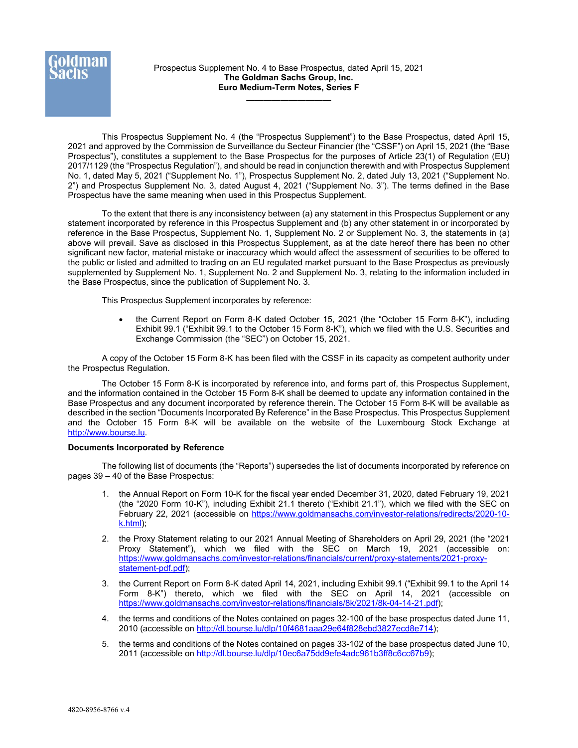

Prospectus Supplement No. 4 to Base Prospectus, dated April 15, 2021 **The Goldman Sachs Group, Inc. Euro Medium-Term Notes, Series F**

**——————————** 

This Prospectus Supplement No. 4 (the "Prospectus Supplement") to the Base Prospectus, dated April 15, 2021 and approved by the Commission de Surveillance du Secteur Financier (the "CSSF") on April 15, 2021 (the "Base Prospectus"), constitutes a supplement to the Base Prospectus for the purposes of Article 23(1) of Regulation (EU) 2017/1129 (the "Prospectus Regulation"), and should be read in conjunction therewith and with Prospectus Supplement No. 1, dated May 5, 2021 ("Supplement No. 1"), Prospectus Supplement No. 2, dated July 13, 2021 ("Supplement No. 2") and Prospectus Supplement No. 3, dated August 4, 2021 ("Supplement No. 3"). The terms defined in the Base Prospectus have the same meaning when used in this Prospectus Supplement.

To the extent that there is any inconsistency between (a) any statement in this Prospectus Supplement or any statement incorporated by reference in this Prospectus Supplement and (b) any other statement in or incorporated by reference in the Base Prospectus, Supplement No. 1, Supplement No. 2 or Supplement No. 3, the statements in (a) above will prevail. Save as disclosed in this Prospectus Supplement, as at the date hereof there has been no other significant new factor, material mistake or inaccuracy which would affect the assessment of securities to be offered to the public or listed and admitted to trading on an EU regulated market pursuant to the Base Prospectus as previously supplemented by Supplement No. 1, Supplement No. 2 and Supplement No. 3, relating to the information included in the Base Prospectus, since the publication of Supplement No. 3.

This Prospectus Supplement incorporates by reference:

• the Current Report on Form 8-K dated October 15, 2021 (the "October 15 Form 8-K"), including Exhibit 99.1 ("Exhibit 99.1 to the October 15 Form 8-K"), which we filed with the U.S. Securities and Exchange Commission (the "SEC") on October 15, 2021.

 A copy of the October 15 Form 8-K has been filed with the CSSF in its capacity as competent authority under the Prospectus Regulation.

 The October 15 Form 8-K is incorporated by reference into, and forms part of, this Prospectus Supplement, and the information contained in the October 15 Form 8-K shall be deemed to update any information contained in the Base Prospectus and any document incorporated by reference therein. The October 15 Form 8-K will be available as described in the section "Documents Incorporated By Reference" in the Base Prospectus. This Prospectus Supplement and the October 15 Form 8-K will be available on the website of the Luxembourg Stock Exchange at http://www.bourse.lu.

## **Documents Incorporated by Reference**

The following list of documents (the "Reports") supersedes the list of documents incorporated by reference on pages 39 – 40 of the Base Prospectus:

- 1. the Annual Report on Form 10-K for the fiscal year ended December 31, 2020, dated February 19, 2021 (the "2020 Form 10-K"), including Exhibit 21.1 thereto ("Exhibit 21.1"), which we filed with the SEC on February 22, 2021 (accessible on https://www.goldmansachs.com/investor-relations/redirects/2020-10 k.html);
- 2. the Proxy Statement relating to our 2021 Annual Meeting of Shareholders on April 29, 2021 (the "2021 Proxy Statement"), which we filed with the SEC on March 19, 2021 (accessible on: https://www.goldmansachs.com/investor-relations/financials/current/proxy-statements/2021-proxystatement-pdf.pdf);
- 3. the Current Report on Form 8-K dated April 14, 2021, including Exhibit 99.1 ("Exhibit 99.1 to the April 14 Form 8-K") thereto, which we filed with the SEC on April 14, 2021 (accessible on https://www.goldmansachs.com/investor-relations/financials/8k/2021/8k-04-14-21.pdf);
- 4. the terms and conditions of the Notes contained on pages 32-100 of the base prospectus dated June 11, 2010 (accessible on http://dl.bourse.lu/dlp/10f4681aaa29e64f828ebd3827ecd8e714);
- 5. the terms and conditions of the Notes contained on pages 33-102 of the base prospectus dated June 10, 2011 (accessible on http://dl.bourse.lu/dlp/10ec6a75dd9efe4adc961b3ff8c6cc67b9);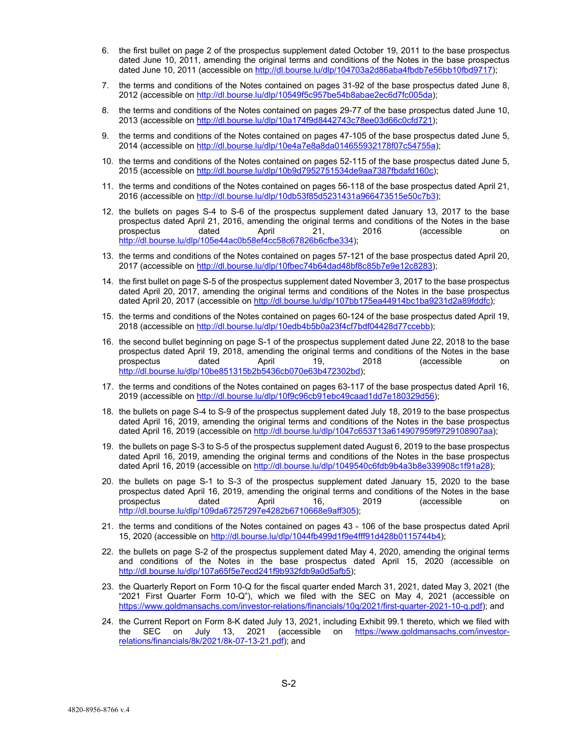- 6. the first bullet on page 2 of the prospectus supplement dated October 19, 2011 to the base prospectus dated June 10, 2011, amending the original terms and conditions of the Notes in the base prospectus dated June 10, 2011 (accessible on http://dl.bourse.lu/dlp/104703a2d86aba4fbdb7e56bb10fbd9717);
- 7. the terms and conditions of the Notes contained on pages 31-92 of the base prospectus dated June 8, 2012 (accessible on http://dl.bourse.lu/dlp/10549f5c957be54b8abae2ec6d7fc005da);
- 8. the terms and conditions of the Notes contained on pages 29-77 of the base prospectus dated June 10, 2013 (accessible on http://dl.bourse.lu/dlp/10a174f9d8442743c78ee03d66c0cfd721);
- 9. the terms and conditions of the Notes contained on pages 47-105 of the base prospectus dated June 5, 2014 (accessible on http://dl.bourse.lu/dlp/10e4a7e8a8da014655932178f07c54755a);
- 10. the terms and conditions of the Notes contained on pages 52-115 of the base prospectus dated June 5, 2015 (accessible on http://dl.bourse.lu/dlp/10b9d7952751534de9aa7387fbdafd160c);
- 11. the terms and conditions of the Notes contained on pages 56-118 of the base prospectus dated April 21, 2016 (accessible on http://dl.bourse.lu/dlp/10db53f85d5231431a966473515e50c7b3);
- 12. the bullets on pages S-4 to S-6 of the prospectus supplement dated January 13, 2017 to the base prospectus dated April 21, 2016, amending the original terms and conditions of the Notes in the base prospectus dated April 21, 2016 (accessible on http://dl.bourse.lu/dlp/105e44ac0b58ef4cc58c67826b6cfbe334);
- 13. the terms and conditions of the Notes contained on pages 57-121 of the base prospectus dated April 20, 2017 (accessible on http://dl.bourse.lu/dlp/10fbec74b64dad48bf8c85b7e9e12c8283);
- 14. the first bullet on page S-5 of the prospectus supplement dated November 3, 2017 to the base prospectus dated April 20, 2017, amending the original terms and conditions of the Notes in the base prospectus dated April 20, 2017 (accessible on http://dl.bourse.lu/dlp/107bb175ea44914bc1ba9231d2a89fddfc);
- 15. the terms and conditions of the Notes contained on pages 60-124 of the base prospectus dated April 19, 2018 (accessible on http://dl.bourse.lu/dlp/10edb4b5b0a23f4cf7bdf04428d77ccebb);
- 16. the second bullet beginning on page S-1 of the prospectus supplement dated June 22, 2018 to the base prospectus dated April 19, 2018, amending the original terms and conditions of the Notes in the base prospectus dated April 19, 2018 (accessible on http://dl.bourse.lu/dlp/10be851315b2b5436cb070e63b472302bd);
- 17. the terms and conditions of the Notes contained on pages 63-117 of the base prospectus dated April 16, 2019 (accessible on http://dl.bourse.lu/dlp/10f9c96cb91ebc49caad1dd7e180329d56);
- 18. the bullets on page S-4 to S-9 of the prospectus supplement dated July 18, 2019 to the base prospectus dated April 16, 2019, amending the original terms and conditions of the Notes in the base prospectus dated April 16, 2019 (accessible on http://dl.bourse.lu/dlp/1047c653713a614907959f9729108907aa);
- 19. the bullets on page S-3 to S-5 of the prospectus supplement dated August 6, 2019 to the base prospectus dated April 16, 2019, amending the original terms and conditions of the Notes in the base prospectus dated April 16, 2019 (accessible on http://dl.bourse.lu/dlp/1049540c6fdb9b4a3b8e339908c1f91a28);
- 20. the bullets on page S-1 to S-3 of the prospectus supplement dated January 15, 2020 to the base prospectus dated April 16, 2019, amending the original terms and conditions of the Notes in the base prospectus dated April 16, 2019 (accessible on http://dl.bourse.lu/dlp/109da67257297e4282b6710668e9aff305);
- 21. the terms and conditions of the Notes contained on pages 43 106 of the base prospectus dated April 15, 2020 (accessible on http://dl.bourse.lu/dlp/1044fb499d1f9e4fff91d428b0115744b4);
- 22. the bullets on page S-2 of the prospectus supplement dated May 4, 2020, amending the original terms and conditions of the Notes in the base prospectus dated April 15, 2020 (accessible on http://dl.bourse.lu/dlp/107a65f5e7ecd241f9b932fdb9a0d5afb5);
- 23. the Quarterly Report on Form 10-Q for the fiscal quarter ended March 31, 2021, dated May 3, 2021 (the "2021 First Quarter Form 10-Q"), which we filed with the SEC on May 4, 2021 (accessible on https://www.goldmansachs.com/investor-relations/financials/10q/2021/first-quarter-2021-10-q.pdf); and
- 24. the Current Report on Form 8-K dated July 13, 2021, including Exhibit 99.1 thereto, which we filed with the SEC on July 13, 2021 (accessible on https://www.goldmansachs.com/investorrelations/financials/8k/2021/8k-07-13-21.pdf); and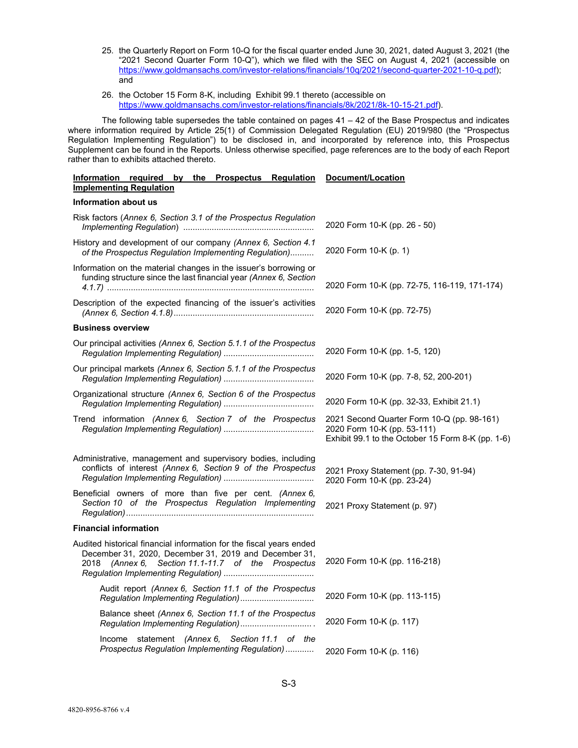- 25. the Quarterly Report on Form 10-Q for the fiscal quarter ended June 30, 2021, dated August 3, 2021 (the "2021 Second Quarter Form 10-Q"), which we filed with the SEC on August 4, 2021 (accessible on https://www.goldmansachs.com/investor-relations/financials/10q/2021/second-quarter-2021-10-q.pdf); and
- 26. the October 15 Form 8-K, including Exhibit 99.1 thereto (accessible on https://www.goldmansachs.com/investor-relations/financials/8k/2021/8k-10-15-21.pdf).

The following table supersedes the table contained on pages  $41 - 42$  of the Base Prospectus and indicates where information required by Article 25(1) of Commission Delegated Regulation (EU) 2019/980 (the "Prospectus Regulation Implementing Regulation") to be disclosed in, and incorporated by reference into, this Prospectus Supplement can be found in the Reports. Unless otherwise specified, page references are to the body of each Report rather than to exhibits attached thereto.

| Information required by the Prospectus Regulation<br><b>Implementing Regulation</b>                                                                                                      | Document/Location                                                                                                              |
|------------------------------------------------------------------------------------------------------------------------------------------------------------------------------------------|--------------------------------------------------------------------------------------------------------------------------------|
| Information about us                                                                                                                                                                     |                                                                                                                                |
| Risk factors (Annex 6, Section 3.1 of the Prospectus Regulation                                                                                                                          | 2020 Form 10-K (pp. 26 - 50)                                                                                                   |
| History and development of our company (Annex 6, Section 4.1<br>of the Prospectus Regulation Implementing Regulation)                                                                    | 2020 Form 10-K (p. 1)                                                                                                          |
| Information on the material changes in the issuer's borrowing or<br>funding structure since the last financial year (Annex 6, Section                                                    | 2020 Form 10-K (pp. 72-75, 116-119, 171-174)                                                                                   |
| Description of the expected financing of the issuer's activities                                                                                                                         | 2020 Form 10-K (pp. 72-75)                                                                                                     |
| <b>Business overview</b>                                                                                                                                                                 |                                                                                                                                |
| Our principal activities (Annex 6, Section 5.1.1 of the Prospectus                                                                                                                       | 2020 Form 10-K (pp. 1-5, 120)                                                                                                  |
| Our principal markets (Annex 6, Section 5.1.1 of the Prospectus                                                                                                                          | 2020 Form 10-K (pp. 7-8, 52, 200-201)                                                                                          |
| Organizational structure (Annex 6, Section 6 of the Prospectus                                                                                                                           | 2020 Form 10-K (pp. 32-33, Exhibit 21.1)                                                                                       |
| Trend information (Annex 6, Section 7 of the Prospectus                                                                                                                                  | 2021 Second Quarter Form 10-Q (pp. 98-161)<br>2020 Form 10-K (pp. 53-111)<br>Exhibit 99.1 to the October 15 Form 8-K (pp. 1-6) |
| Administrative, management and supervisory bodies, including<br>conflicts of interest (Annex 6, Section 9 of the Prospectus                                                              | 2021 Proxy Statement (pp. 7-30, 91-94)<br>2020 Form 10-K (pp. 23-24)                                                           |
| Beneficial owners of more than five per cent. (Annex 6,<br>Section 10 of the Prospectus Regulation Implementing                                                                          | 2021 Proxy Statement (p. 97)                                                                                                   |
| <b>Financial information</b>                                                                                                                                                             |                                                                                                                                |
| Audited historical financial information for the fiscal years ended<br>December 31, 2020, December 31, 2019 and December 31,<br>Section 11.1-11.7 of the Prospectus<br>2018<br>(Annex 6, | 2020 Form 10-K (pp. 116-218)                                                                                                   |
| Audit report (Annex 6, Section 11.1 of the Prospectus<br>Regulation Implementing Regulation)                                                                                             | 2020 Form 10-K (pp. 113-115)                                                                                                   |
| Balance sheet (Annex 6, Section 11.1 of the Prospectus<br>Regulation Implementing Regulation)                                                                                            | 2020 Form 10-K (p. 117)                                                                                                        |
| Income statement (Annex 6, Section 11.1 of the<br>Prospectus Regulation Implementing Regulation)                                                                                         | 2020 Form 10-K (p. 116)                                                                                                        |